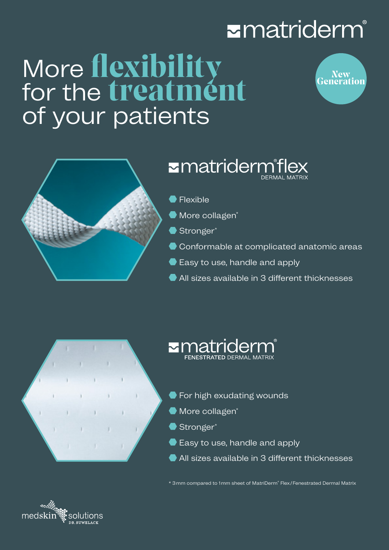## **Ematriderm**®

# More **flexibility**<br>for the **treatment** of your patients





### Ematridermiflex

- Flexible
- $\bullet$  More collagen<sup>\*</sup>
- Stronger\*
- Conformable at complicated anatomic areas
- Easy to use, handle and apply
- All sizes available in 3 different thicknesses



## zmatriderm

- **•** For high exudating wounds
- $\bullet$  More collagen<sup>\*</sup>
- Stronger\*
- Easy to use, handle and apply
- All sizes available in 3 different thicknesses

\* 3mm compared to 1mm sheet of MatriDerm® Flex/Fenestrated Dermal Matrix